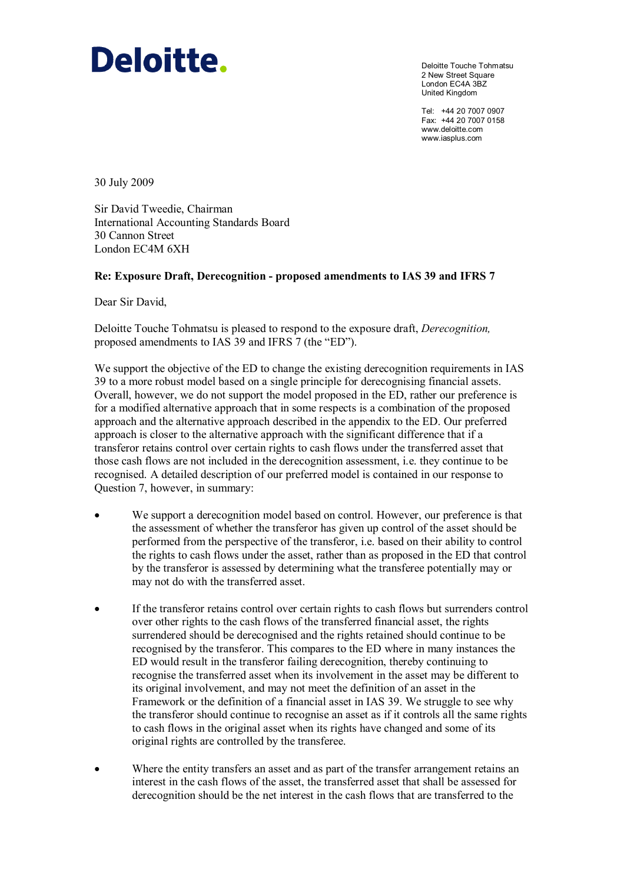# Deloitte.

Deloitte Touche Tohmatsu 2 New Street Square London EC4A 3BZ United Kingdom

Tel: +44 20 7007 0907 Fax: +44 20 7007 0158 www.deloitte.com www.iasplus.com

30 July 2009

Sir David Tweedie, Chairman International Accounting Standards Board 30 Cannon Street London EC4M 6XH

#### Re: Exposure Draft, Derecognition - proposed amendments to IAS 39 and IFRS 7

Dear Sir David,

Deloitte Touche Tohmatsu is pleased to respond to the exposure draft, Derecognition, proposed amendments to IAS 39 and IFRS 7 (the "ED").

We support the objective of the ED to change the existing derecognition requirements in IAS 39 to a more robust model based on a single principle for derecognising financial assets. Overall, however, we do not support the model proposed in the ED, rather our preference is for a modified alternative approach that in some respects is a combination of the proposed approach and the alternative approach described in the appendix to the ED. Our preferred approach is closer to the alternative approach with the significant difference that if a transferor retains control over certain rights to cash flows under the transferred asset that those cash flows are not included in the derecognition assessment, i.e. they continue to be recognised. A detailed description of our preferred model is contained in our response to Question 7, however, in summary:

- We support a derecognition model based on control. However, our preference is that the assessment of whether the transferor has given up control of the asset should be performed from the perspective of the transferor, i.e. based on their ability to control the rights to cash flows under the asset, rather than as proposed in the ED that control by the transferor is assessed by determining what the transferee potentially may or may not do with the transferred asset.
- If the transferor retains control over certain rights to cash flows but surrenders control over other rights to the cash flows of the transferred financial asset, the rights surrendered should be derecognised and the rights retained should continue to be recognised by the transferor. This compares to the ED where in many instances the ED would result in the transferor failing derecognition, thereby continuing to recognise the transferred asset when its involvement in the asset may be different to its original involvement, and may not meet the definition of an asset in the Framework or the definition of a financial asset in IAS 39. We struggle to see why the transferor should continue to recognise an asset as if it controls all the same rights to cash flows in the original asset when its rights have changed and some of its original rights are controlled by the transferee.
- Where the entity transfers an asset and as part of the transfer arrangement retains an interest in the cash flows of the asset, the transferred asset that shall be assessed for derecognition should be the net interest in the cash flows that are transferred to the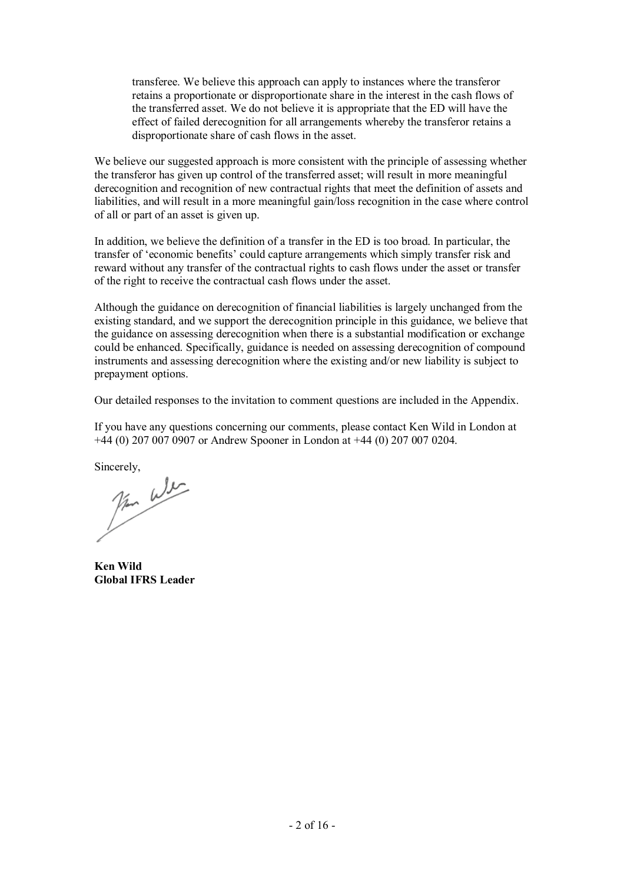transferee. We believe this approach can apply to instances where the transferor retains a proportionate or disproportionate share in the interest in the cash flows of the transferred asset. We do not believe it is appropriate that the ED will have the effect of failed derecognition for all arrangements whereby the transferor retains a disproportionate share of cash flows in the asset.

We believe our suggested approach is more consistent with the principle of assessing whether the transferor has given up control of the transferred asset; will result in more meaningful derecognition and recognition of new contractual rights that meet the definition of assets and liabilities, and will result in a more meaningful gain/loss recognition in the case where control of all or part of an asset is given up.

In addition, we believe the definition of a transfer in the ED is too broad. In particular, the transfer of 'economic benefits' could capture arrangements which simply transfer risk and reward without any transfer of the contractual rights to cash flows under the asset or transfer of the right to receive the contractual cash flows under the asset.

Although the guidance on derecognition of financial liabilities is largely unchanged from the existing standard, and we support the derecognition principle in this guidance, we believe that the guidance on assessing derecognition when there is a substantial modification or exchange could be enhanced. Specifically, guidance is needed on assessing derecognition of compound instruments and assessing derecognition where the existing and/or new liability is subject to prepayment options.

Our detailed responses to the invitation to comment questions are included in the Appendix.

If you have any questions concerning our comments, please contact Ken Wild in London at +44 (0) 207 007 0907 or Andrew Spooner in London at +44 (0) 207 007 0204.

Sincerely,  $\mu$ 

Ken Wild Global IFRS Leader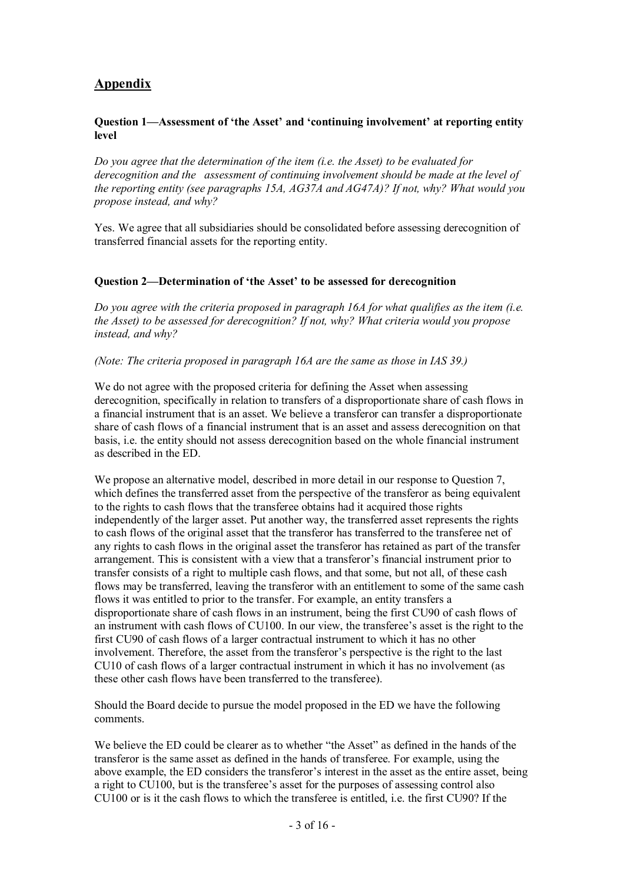# **Appendix**

#### Question 1—Assessment of 'the Asset' and 'continuing involvement' at reporting entity level

Do you agree that the determination of the item (i.e. the Asset) to be evaluated for derecognition and the assessment of continuing involvement should be made at the level of the reporting entity (see paragraphs 15A, AG37A and AG47A)? If not, why? What would you propose instead, and why?

Yes. We agree that all subsidiaries should be consolidated before assessing derecognition of transferred financial assets for the reporting entity.

#### Question 2—Determination of 'the Asset' to be assessed for derecognition

Do you agree with the criteria proposed in paragraph 16A for what qualifies as the item (i.e. the Asset) to be assessed for derecognition? If not, why? What criteria would you propose instead, and why?

#### (Note: The criteria proposed in paragraph 16A are the same as those in IAS 39.)

We do not agree with the proposed criteria for defining the Asset when assessing derecognition, specifically in relation to transfers of a disproportionate share of cash flows in a financial instrument that is an asset. We believe a transferor can transfer a disproportionate share of cash flows of a financial instrument that is an asset and assess derecognition on that basis, i.e. the entity should not assess derecognition based on the whole financial instrument as described in the ED.

We propose an alternative model, described in more detail in our response to Ouestion 7, which defines the transferred asset from the perspective of the transferor as being equivalent to the rights to cash flows that the transferee obtains had it acquired those rights independently of the larger asset. Put another way, the transferred asset represents the rights to cash flows of the original asset that the transferor has transferred to the transferee net of any rights to cash flows in the original asset the transferor has retained as part of the transfer arrangement. This is consistent with a view that a transferor's financial instrument prior to transfer consists of a right to multiple cash flows, and that some, but not all, of these cash flows may be transferred, leaving the transferor with an entitlement to some of the same cash flows it was entitled to prior to the transfer. For example, an entity transfers a disproportionate share of cash flows in an instrument, being the first CU90 of cash flows of an instrument with cash flows of CU100. In our view, the transferee's asset is the right to the first CU90 of cash flows of a larger contractual instrument to which it has no other involvement. Therefore, the asset from the transferor's perspective is the right to the last CU10 of cash flows of a larger contractual instrument in which it has no involvement (as these other cash flows have been transferred to the transferee).

Should the Board decide to pursue the model proposed in the ED we have the following comments.

We believe the ED could be clearer as to whether "the Asset" as defined in the hands of the transferor is the same asset as defined in the hands of transferee. For example, using the above example, the ED considers the transferor's interest in the asset as the entire asset, being a right to CU100, but is the transferee's asset for the purposes of assessing control also CU100 or is it the cash flows to which the transferee is entitled, i.e. the first CU90? If the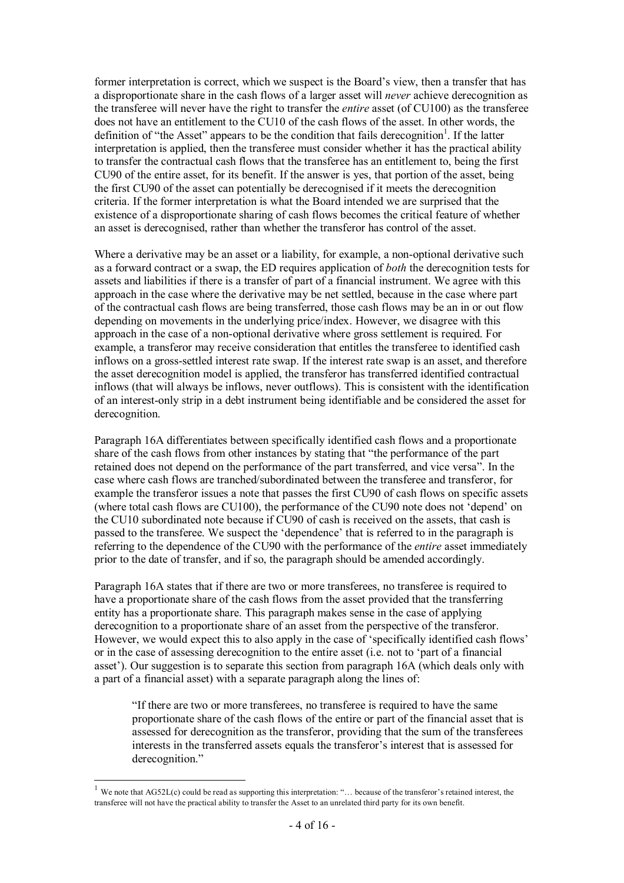former interpretation is correct, which we suspect is the Board's view, then a transfer that has a disproportionate share in the cash flows of a larger asset will never achieve derecognition as the transferee will never have the right to transfer the entire asset (of CU100) as the transferee does not have an entitlement to the CU10 of the cash flows of the asset. In other words, the definition of "the Asset" appears to be the condition that fails derecognition<sup>1</sup>. If the latter interpretation is applied, then the transferee must consider whether it has the practical ability to transfer the contractual cash flows that the transferee has an entitlement to, being the first CU90 of the entire asset, for its benefit. If the answer is yes, that portion of the asset, being the first CU90 of the asset can potentially be derecognised if it meets the derecognition criteria. If the former interpretation is what the Board intended we are surprised that the existence of a disproportionate sharing of cash flows becomes the critical feature of whether an asset is derecognised, rather than whether the transferor has control of the asset.

Where a derivative may be an asset or a liability, for example, a non-optional derivative such as a forward contract or a swap, the ED requires application of both the derecognition tests for assets and liabilities if there is a transfer of part of a financial instrument. We agree with this approach in the case where the derivative may be net settled, because in the case where part of the contractual cash flows are being transferred, those cash flows may be an in or out flow depending on movements in the underlying price/index. However, we disagree with this approach in the case of a non-optional derivative where gross settlement is required. For example, a transferor may receive consideration that entitles the transferee to identified cash inflows on a gross-settled interest rate swap. If the interest rate swap is an asset, and therefore the asset derecognition model is applied, the transferor has transferred identified contractual inflows (that will always be inflows, never outflows). This is consistent with the identification of an interest-only strip in a debt instrument being identifiable and be considered the asset for derecognition.

Paragraph 16A differentiates between specifically identified cash flows and a proportionate share of the cash flows from other instances by stating that "the performance of the part retained does not depend on the performance of the part transferred, and vice versa". In the case where cash flows are tranched/subordinated between the transferee and transferor, for example the transferor issues a note that passes the first CU90 of cash flows on specific assets (where total cash flows are CU100), the performance of the CU90 note does not 'depend' on the CU10 subordinated note because if CU90 of cash is received on the assets, that cash is passed to the transferee. We suspect the 'dependence' that is referred to in the paragraph is referring to the dependence of the CU90 with the performance of the entire asset immediately prior to the date of transfer, and if so, the paragraph should be amended accordingly.

Paragraph 16A states that if there are two or more transferees, no transferee is required to have a proportionate share of the cash flows from the asset provided that the transferring entity has a proportionate share. This paragraph makes sense in the case of applying derecognition to a proportionate share of an asset from the perspective of the transferor. However, we would expect this to also apply in the case of 'specifically identified cash flows' or in the case of assessing derecognition to the entire asset (i.e. not to 'part of a financial asset'). Our suggestion is to separate this section from paragraph 16A (which deals only with a part of a financial asset) with a separate paragraph along the lines of:

"If there are two or more transferees, no transferee is required to have the same proportionate share of the cash flows of the entire or part of the financial asset that is assessed for derecognition as the transferor, providing that the sum of the transferees interests in the transferred assets equals the transferor's interest that is assessed for derecognition."

 $\overline{a}$ 

<sup>&</sup>lt;sup>1</sup> We note that AG52L(c) could be read as supporting this interpretation: "... because of the transferor's retained interest, the transferee will not have the practical ability to transfer the Asset to an unrelated third party for its own benefit.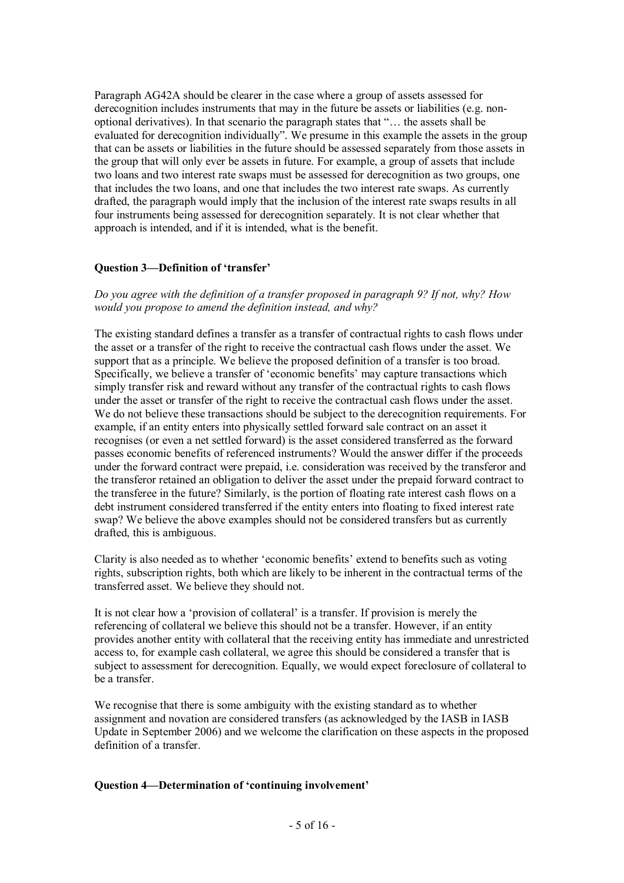Paragraph AG42A should be clearer in the case where a group of assets assessed for derecognition includes instruments that may in the future be assets or liabilities (e.g. nonoptional derivatives). In that scenario the paragraph states that "… the assets shall be evaluated for derecognition individually". We presume in this example the assets in the group that can be assets or liabilities in the future should be assessed separately from those assets in the group that will only ever be assets in future. For example, a group of assets that include two loans and two interest rate swaps must be assessed for derecognition as two groups, one that includes the two loans, and one that includes the two interest rate swaps. As currently drafted, the paragraph would imply that the inclusion of the interest rate swaps results in all four instruments being assessed for derecognition separately. It is not clear whether that approach is intended, and if it is intended, what is the benefit.

#### Question 3—Definition of 'transfer'

Do you agree with the definition of a transfer proposed in paragraph 9? If not, why? How would you propose to amend the definition instead, and why?

The existing standard defines a transfer as a transfer of contractual rights to cash flows under the asset or a transfer of the right to receive the contractual cash flows under the asset. We support that as a principle. We believe the proposed definition of a transfer is too broad. Specifically, we believe a transfer of 'economic benefits' may capture transactions which simply transfer risk and reward without any transfer of the contractual rights to cash flows under the asset or transfer of the right to receive the contractual cash flows under the asset. We do not believe these transactions should be subject to the derecognition requirements. For example, if an entity enters into physically settled forward sale contract on an asset it recognises (or even a net settled forward) is the asset considered transferred as the forward passes economic benefits of referenced instruments? Would the answer differ if the proceeds under the forward contract were prepaid, i.e. consideration was received by the transferor and the transferor retained an obligation to deliver the asset under the prepaid forward contract to the transferee in the future? Similarly, is the portion of floating rate interest cash flows on a debt instrument considered transferred if the entity enters into floating to fixed interest rate swap? We believe the above examples should not be considered transfers but as currently drafted, this is ambiguous.

Clarity is also needed as to whether 'economic benefits' extend to benefits such as voting rights, subscription rights, both which are likely to be inherent in the contractual terms of the transferred asset. We believe they should not.

It is not clear how a 'provision of collateral' is a transfer. If provision is merely the referencing of collateral we believe this should not be a transfer. However, if an entity provides another entity with collateral that the receiving entity has immediate and unrestricted access to, for example cash collateral, we agree this should be considered a transfer that is subject to assessment for derecognition. Equally, we would expect foreclosure of collateral to be a transfer.

We recognise that there is some ambiguity with the existing standard as to whether assignment and novation are considered transfers (as acknowledged by the IASB in IASB Update in September 2006) and we welcome the clarification on these aspects in the proposed definition of a transfer.

#### Question 4—Determination of 'continuing involvement'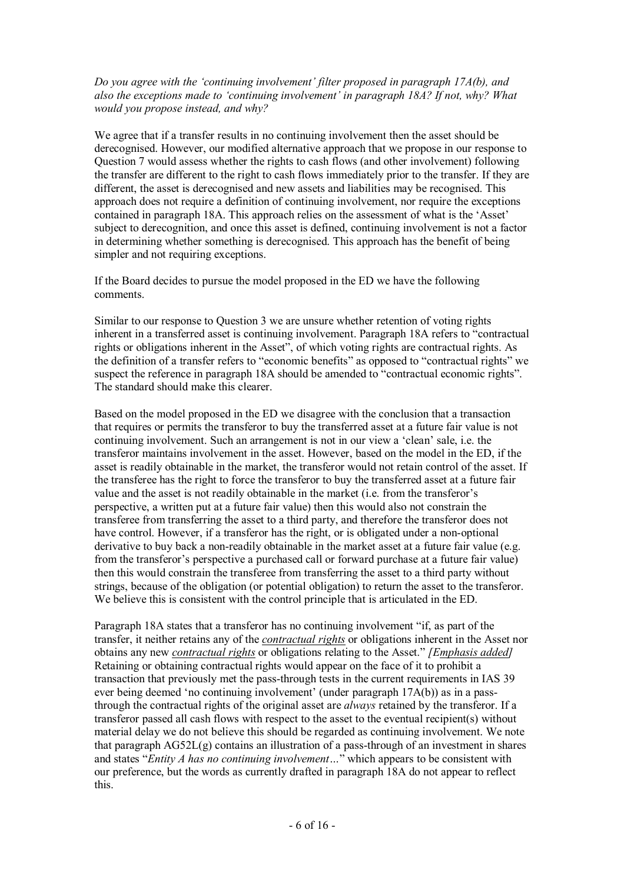Do you agree with the 'continuing involvement' filter proposed in paragraph 17A(b), and also the exceptions made to 'continuing involvement' in paragraph 18A? If not, why? What would you propose instead, and why?

We agree that if a transfer results in no continuing involvement then the asset should be derecognised. However, our modified alternative approach that we propose in our response to Question 7 would assess whether the rights to cash flows (and other involvement) following the transfer are different to the right to cash flows immediately prior to the transfer. If they are different, the asset is derecognised and new assets and liabilities may be recognised. This approach does not require a definition of continuing involvement, nor require the exceptions contained in paragraph 18A. This approach relies on the assessment of what is the 'Asset' subject to derecognition, and once this asset is defined, continuing involvement is not a factor in determining whether something is derecognised. This approach has the benefit of being simpler and not requiring exceptions.

If the Board decides to pursue the model proposed in the ED we have the following comments.

Similar to our response to Question 3 we are unsure whether retention of voting rights inherent in a transferred asset is continuing involvement. Paragraph 18A refers to "contractual rights or obligations inherent in the Asset", of which voting rights are contractual rights. As the definition of a transfer refers to "economic benefits" as opposed to "contractual rights" we suspect the reference in paragraph 18A should be amended to "contractual economic rights". The standard should make this clearer.

Based on the model proposed in the ED we disagree with the conclusion that a transaction that requires or permits the transferor to buy the transferred asset at a future fair value is not continuing involvement. Such an arrangement is not in our view a 'clean' sale, i.e. the transferor maintains involvement in the asset. However, based on the model in the ED, if the asset is readily obtainable in the market, the transferor would not retain control of the asset. If the transferee has the right to force the transferor to buy the transferred asset at a future fair value and the asset is not readily obtainable in the market (i.e. from the transferor's perspective, a written put at a future fair value) then this would also not constrain the transferee from transferring the asset to a third party, and therefore the transferor does not have control. However, if a transferor has the right, or is obligated under a non-optional derivative to buy back a non-readily obtainable in the market asset at a future fair value (e.g. from the transferor's perspective a purchased call or forward purchase at a future fair value) then this would constrain the transferee from transferring the asset to a third party without strings, because of the obligation (or potential obligation) to return the asset to the transferor. We believe this is consistent with the control principle that is articulated in the ED.

Paragraph 18A states that a transferor has no continuing involvement "if, as part of the transfer, it neither retains any of the contractual rights or obligations inherent in the Asset nor obtains any new *contractual rights* or obligations relating to the Asset." [*Emphasis added*] Retaining or obtaining contractual rights would appear on the face of it to prohibit a transaction that previously met the pass-through tests in the current requirements in IAS 39 ever being deemed 'no continuing involvement' (under paragraph 17A(b)) as in a passthrough the contractual rights of the original asset are always retained by the transferor. If a transferor passed all cash flows with respect to the asset to the eventual recipient(s) without material delay we do not believe this should be regarded as continuing involvement. We note that paragraph AG52L(g) contains an illustration of a pass-through of an investment in shares and states "Entity A has no continuing involvement..." which appears to be consistent with our preference, but the words as currently drafted in paragraph 18A do not appear to reflect this.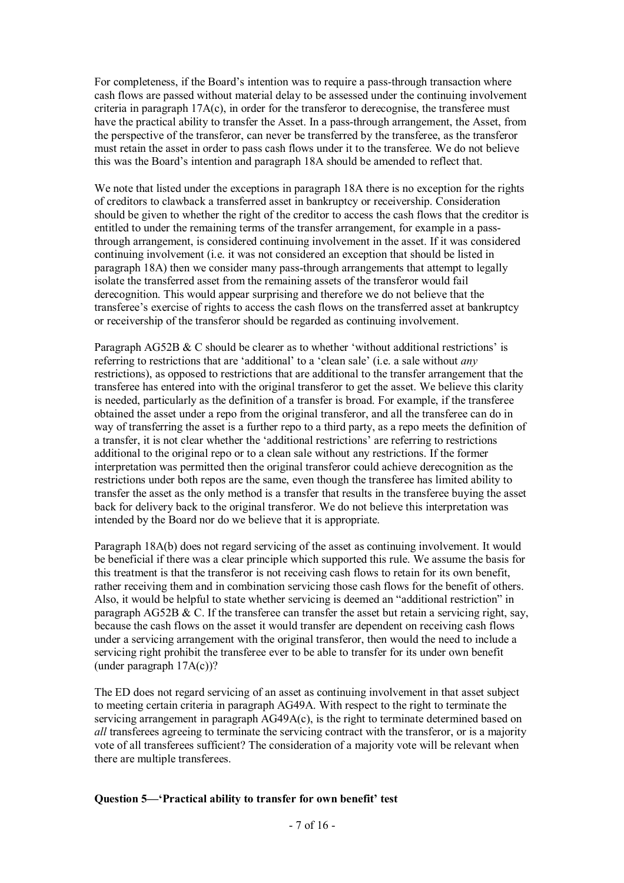For completeness, if the Board's intention was to require a pass-through transaction where cash flows are passed without material delay to be assessed under the continuing involvement criteria in paragraph  $17A(c)$ , in order for the transferor to derecognise, the transferee must have the practical ability to transfer the Asset. In a pass-through arrangement, the Asset, from the perspective of the transferor, can never be transferred by the transferee, as the transferor must retain the asset in order to pass cash flows under it to the transferee. We do not believe this was the Board's intention and paragraph 18A should be amended to reflect that.

We note that listed under the exceptions in paragraph 18A there is no exception for the rights of creditors to clawback a transferred asset in bankruptcy or receivership. Consideration should be given to whether the right of the creditor to access the cash flows that the creditor is entitled to under the remaining terms of the transfer arrangement, for example in a passthrough arrangement, is considered continuing involvement in the asset. If it was considered continuing involvement (i.e. it was not considered an exception that should be listed in paragraph 18A) then we consider many pass-through arrangements that attempt to legally isolate the transferred asset from the remaining assets of the transferor would fail derecognition. This would appear surprising and therefore we do not believe that the transferee's exercise of rights to access the cash flows on the transferred asset at bankruptcy or receivership of the transferor should be regarded as continuing involvement.

Paragraph AG52B & C should be clearer as to whether 'without additional restrictions' is referring to restrictions that are 'additional' to a 'clean sale' (i.e. a sale without any restrictions), as opposed to restrictions that are additional to the transfer arrangement that the transferee has entered into with the original transferor to get the asset. We believe this clarity is needed, particularly as the definition of a transfer is broad. For example, if the transferee obtained the asset under a repo from the original transferor, and all the transferee can do in way of transferring the asset is a further repo to a third party, as a repo meets the definition of a transfer, it is not clear whether the 'additional restrictions' are referring to restrictions additional to the original repo or to a clean sale without any restrictions. If the former interpretation was permitted then the original transferor could achieve derecognition as the restrictions under both repos are the same, even though the transferee has limited ability to transfer the asset as the only method is a transfer that results in the transferee buying the asset back for delivery back to the original transferor. We do not believe this interpretation was intended by the Board nor do we believe that it is appropriate.

Paragraph 18A(b) does not regard servicing of the asset as continuing involvement. It would be beneficial if there was a clear principle which supported this rule. We assume the basis for this treatment is that the transferor is not receiving cash flows to retain for its own benefit, rather receiving them and in combination servicing those cash flows for the benefit of others. Also, it would be helpful to state whether servicing is deemed an "additional restriction" in paragraph AG52B & C. If the transferee can transfer the asset but retain a servicing right, say, because the cash flows on the asset it would transfer are dependent on receiving cash flows under a servicing arrangement with the original transferor, then would the need to include a servicing right prohibit the transferee ever to be able to transfer for its under own benefit (under paragraph 17A(c))?

The ED does not regard servicing of an asset as continuing involvement in that asset subject to meeting certain criteria in paragraph AG49A. With respect to the right to terminate the servicing arrangement in paragraph AG49A(c), is the right to terminate determined based on all transferees agreeing to terminate the servicing contract with the transferor, or is a majority vote of all transferees sufficient? The consideration of a majority vote will be relevant when there are multiple transferees.

#### Question 5—'Practical ability to transfer for own benefit' test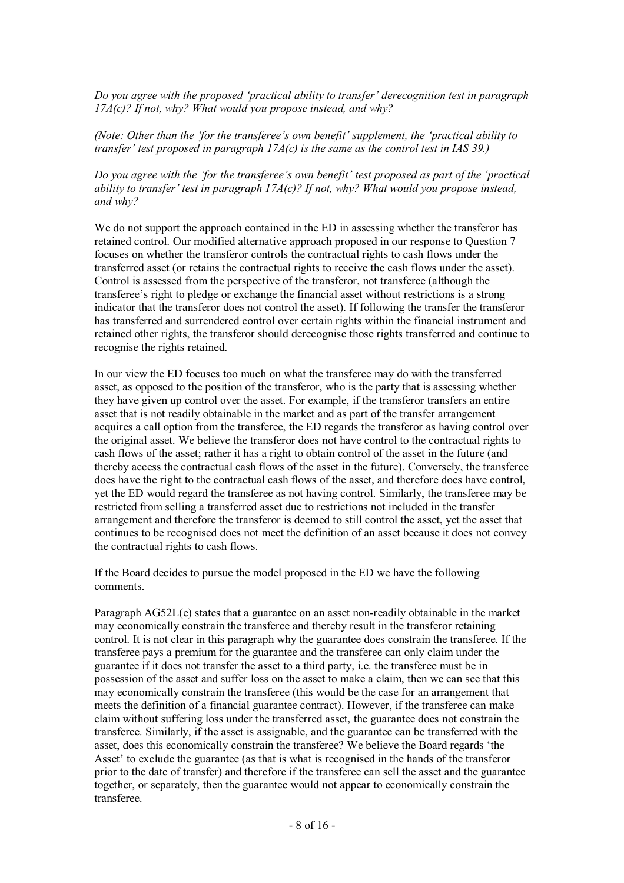Do you agree with the proposed 'practical ability to transfer' derecognition test in paragraph  $17A(c)$ ? If not, why? What would you propose instead, and why?

(Note: Other than the 'for the transferee's own benefit' supplement, the 'practical ability to transfer' test proposed in paragraph  $17A(c)$  is the same as the control test in IAS 39.)

Do you agree with the 'for the transferee's own benefit' test proposed as part of the 'practical ability to transfer' test in paragraph  $17A(c)$ ? If not, why? What would you propose instead, and why?

We do not support the approach contained in the ED in assessing whether the transferor has retained control. Our modified alternative approach proposed in our response to Question 7 focuses on whether the transferor controls the contractual rights to cash flows under the transferred asset (or retains the contractual rights to receive the cash flows under the asset). Control is assessed from the perspective of the transferor, not transferee (although the transferee's right to pledge or exchange the financial asset without restrictions is a strong indicator that the transferor does not control the asset). If following the transfer the transferor has transferred and surrendered control over certain rights within the financial instrument and retained other rights, the transferor should derecognise those rights transferred and continue to recognise the rights retained.

In our view the ED focuses too much on what the transferee may do with the transferred asset, as opposed to the position of the transferor, who is the party that is assessing whether they have given up control over the asset. For example, if the transferor transfers an entire asset that is not readily obtainable in the market and as part of the transfer arrangement acquires a call option from the transferee, the ED regards the transferor as having control over the original asset. We believe the transferor does not have control to the contractual rights to cash flows of the asset; rather it has a right to obtain control of the asset in the future (and thereby access the contractual cash flows of the asset in the future). Conversely, the transferee does have the right to the contractual cash flows of the asset, and therefore does have control, yet the ED would regard the transferee as not having control. Similarly, the transferee may be restricted from selling a transferred asset due to restrictions not included in the transfer arrangement and therefore the transferor is deemed to still control the asset, yet the asset that continues to be recognised does not meet the definition of an asset because it does not convey the contractual rights to cash flows.

If the Board decides to pursue the model proposed in the ED we have the following comments.

Paragraph AG52L(e) states that a guarantee on an asset non-readily obtainable in the market may economically constrain the transferee and thereby result in the transferor retaining control. It is not clear in this paragraph why the guarantee does constrain the transferee. If the transferee pays a premium for the guarantee and the transferee can only claim under the guarantee if it does not transfer the asset to a third party, i.e. the transferee must be in possession of the asset and suffer loss on the asset to make a claim, then we can see that this may economically constrain the transferee (this would be the case for an arrangement that meets the definition of a financial guarantee contract). However, if the transferee can make claim without suffering loss under the transferred asset, the guarantee does not constrain the transferee. Similarly, if the asset is assignable, and the guarantee can be transferred with the asset, does this economically constrain the transferee? We believe the Board regards 'the Asset' to exclude the guarantee (as that is what is recognised in the hands of the transferor prior to the date of transfer) and therefore if the transferee can sell the asset and the guarantee together, or separately, then the guarantee would not appear to economically constrain the transferee.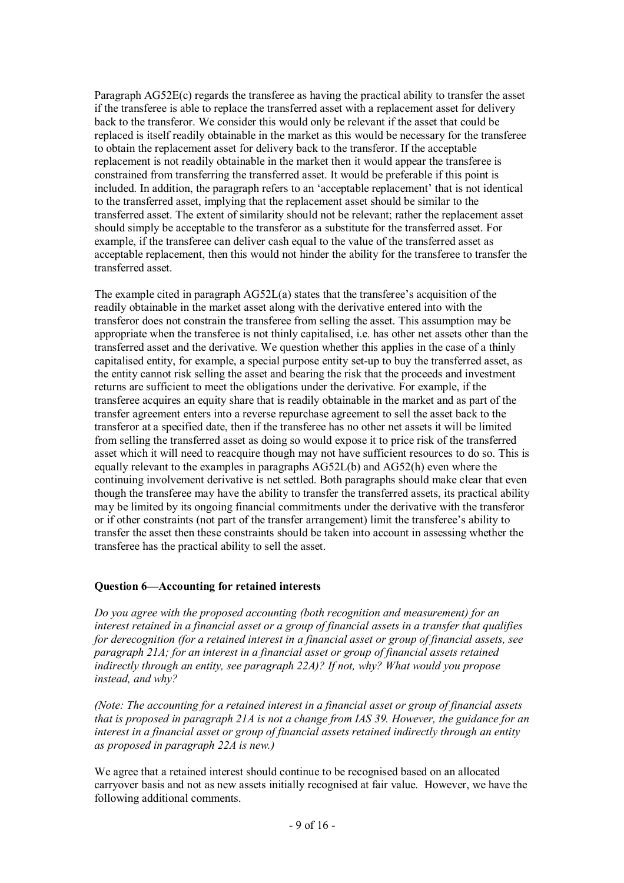Paragraph AG52E(c) regards the transferee as having the practical ability to transfer the asset if the transferee is able to replace the transferred asset with a replacement asset for delivery back to the transferor. We consider this would only be relevant if the asset that could be replaced is itself readily obtainable in the market as this would be necessary for the transferee to obtain the replacement asset for delivery back to the transferor. If the acceptable replacement is not readily obtainable in the market then it would appear the transferee is constrained from transferring the transferred asset. It would be preferable if this point is included. In addition, the paragraph refers to an 'acceptable replacement' that is not identical to the transferred asset, implying that the replacement asset should be similar to the transferred asset. The extent of similarity should not be relevant; rather the replacement asset should simply be acceptable to the transferor as a substitute for the transferred asset. For example, if the transferee can deliver cash equal to the value of the transferred asset as acceptable replacement, then this would not hinder the ability for the transferee to transfer the transferred asset.

The example cited in paragraph AG52L(a) states that the transferee's acquisition of the readily obtainable in the market asset along with the derivative entered into with the transferor does not constrain the transferee from selling the asset. This assumption may be appropriate when the transferee is not thinly capitalised, i.e. has other net assets other than the transferred asset and the derivative. We question whether this applies in the case of a thinly capitalised entity, for example, a special purpose entity set-up to buy the transferred asset, as the entity cannot risk selling the asset and bearing the risk that the proceeds and investment returns are sufficient to meet the obligations under the derivative. For example, if the transferee acquires an equity share that is readily obtainable in the market and as part of the transfer agreement enters into a reverse repurchase agreement to sell the asset back to the transferor at a specified date, then if the transferee has no other net assets it will be limited from selling the transferred asset as doing so would expose it to price risk of the transferred asset which it will need to reacquire though may not have sufficient resources to do so. This is equally relevant to the examples in paragraphs AG52L(b) and AG52(h) even where the continuing involvement derivative is net settled. Both paragraphs should make clear that even though the transferee may have the ability to transfer the transferred assets, its practical ability may be limited by its ongoing financial commitments under the derivative with the transferor or if other constraints (not part of the transfer arrangement) limit the transferee's ability to transfer the asset then these constraints should be taken into account in assessing whether the transferee has the practical ability to sell the asset.

# Question 6—Accounting for retained interests

Do you agree with the proposed accounting (both recognition and measurement) for an interest retained in a financial asset or a group of financial assets in a transfer that qualifies for derecognition (for a retained interest in a financial asset or group of financial assets, see paragraph 21A; for an interest in a financial asset or group of financial assets retained indirectly through an entity, see paragraph 22A)? If not, why? What would you propose instead, and why?

(Note: The accounting for a retained interest in a financial asset or group of financial assets that is proposed in paragraph 21A is not a change from IAS 39. However, the guidance for an interest in a financial asset or group of financial assets retained indirectly through an entity as proposed in paragraph 22A is new.)

We agree that a retained interest should continue to be recognised based on an allocated carryover basis and not as new assets initially recognised at fair value. However, we have the following additional comments.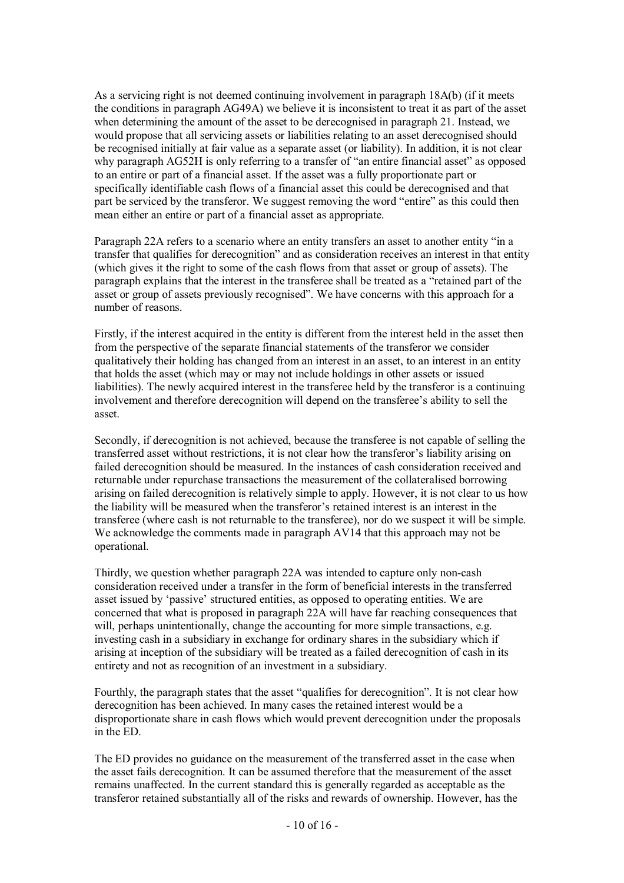As a servicing right is not deemed continuing involvement in paragraph 18A(b) (if it meets the conditions in paragraph AG49A) we believe it is inconsistent to treat it as part of the asset when determining the amount of the asset to be derecognised in paragraph 21. Instead, we would propose that all servicing assets or liabilities relating to an asset derecognised should be recognised initially at fair value as a separate asset (or liability). In addition, it is not clear why paragraph AG52H is only referring to a transfer of "an entire financial asset" as opposed to an entire or part of a financial asset. If the asset was a fully proportionate part or specifically identifiable cash flows of a financial asset this could be derecognised and that part be serviced by the transferor. We suggest removing the word "entire" as this could then mean either an entire or part of a financial asset as appropriate.

Paragraph 22A refers to a scenario where an entity transfers an asset to another entity "in a transfer that qualifies for derecognition" and as consideration receives an interest in that entity (which gives it the right to some of the cash flows from that asset or group of assets). The paragraph explains that the interest in the transferee shall be treated as a "retained part of the asset or group of assets previously recognised". We have concerns with this approach for a number of reasons.

Firstly, if the interest acquired in the entity is different from the interest held in the asset then from the perspective of the separate financial statements of the transferor we consider qualitatively their holding has changed from an interest in an asset, to an interest in an entity that holds the asset (which may or may not include holdings in other assets or issued liabilities). The newly acquired interest in the transferee held by the transferor is a continuing involvement and therefore derecognition will depend on the transferee's ability to sell the asset.

Secondly, if derecognition is not achieved, because the transferee is not capable of selling the transferred asset without restrictions, it is not clear how the transferor's liability arising on failed derecognition should be measured. In the instances of cash consideration received and returnable under repurchase transactions the measurement of the collateralised borrowing arising on failed derecognition is relatively simple to apply. However, it is not clear to us how the liability will be measured when the transferor's retained interest is an interest in the transferee (where cash is not returnable to the transferee), nor do we suspect it will be simple. We acknowledge the comments made in paragraph AV14 that this approach may not be operational.

Thirdly, we question whether paragraph 22A was intended to capture only non-cash consideration received under a transfer in the form of beneficial interests in the transferred asset issued by 'passive' structured entities, as opposed to operating entities. We are concerned that what is proposed in paragraph 22A will have far reaching consequences that will, perhaps unintentionally, change the accounting for more simple transactions, e.g. investing cash in a subsidiary in exchange for ordinary shares in the subsidiary which if arising at inception of the subsidiary will be treated as a failed derecognition of cash in its entirety and not as recognition of an investment in a subsidiary.

Fourthly, the paragraph states that the asset "qualifies for derecognition". It is not clear how derecognition has been achieved. In many cases the retained interest would be a disproportionate share in cash flows which would prevent derecognition under the proposals in the ED.

The ED provides no guidance on the measurement of the transferred asset in the case when the asset fails derecognition. It can be assumed therefore that the measurement of the asset remains unaffected. In the current standard this is generally regarded as acceptable as the transferor retained substantially all of the risks and rewards of ownership. However, has the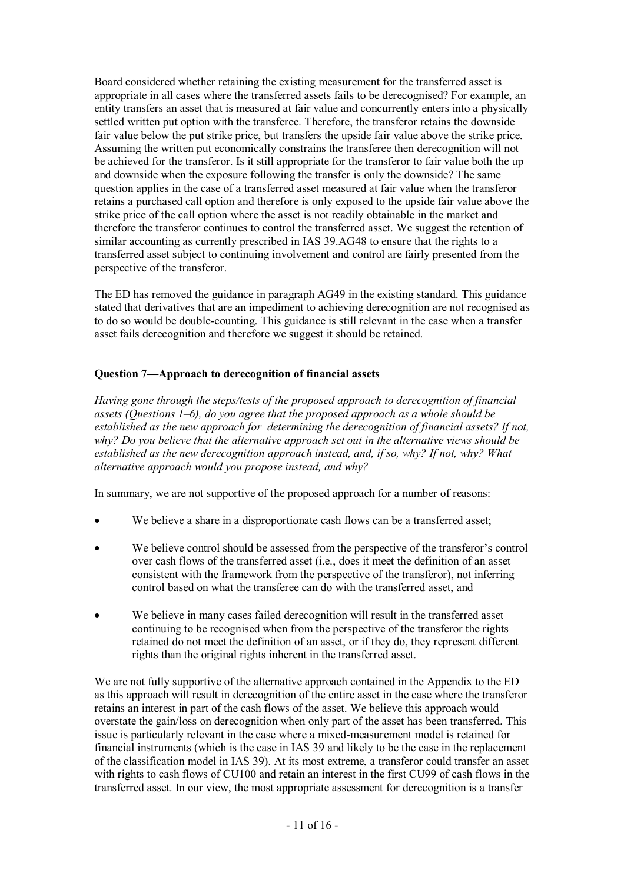Board considered whether retaining the existing measurement for the transferred asset is appropriate in all cases where the transferred assets fails to be derecognised? For example, an entity transfers an asset that is measured at fair value and concurrently enters into a physically settled written put option with the transferee. Therefore, the transferor retains the downside fair value below the put strike price, but transfers the upside fair value above the strike price. Assuming the written put economically constrains the transferee then derecognition will not be achieved for the transferor. Is it still appropriate for the transferor to fair value both the up and downside when the exposure following the transfer is only the downside? The same question applies in the case of a transferred asset measured at fair value when the transferor retains a purchased call option and therefore is only exposed to the upside fair value above the strike price of the call option where the asset is not readily obtainable in the market and therefore the transferor continues to control the transferred asset. We suggest the retention of similar accounting as currently prescribed in IAS 39.AG48 to ensure that the rights to a transferred asset subject to continuing involvement and control are fairly presented from the perspective of the transferor.

The ED has removed the guidance in paragraph AG49 in the existing standard. This guidance stated that derivatives that are an impediment to achieving derecognition are not recognised as to do so would be double-counting. This guidance is still relevant in the case when a transfer asset fails derecognition and therefore we suggest it should be retained.

# Question 7—Approach to derecognition of financial assets

Having gone through the steps/tests of the proposed approach to derecognition of financial assets (Questions 1–6), do you agree that the proposed approach as a whole should be established as the new approach for determining the derecognition of financial assets? If not, why? Do you believe that the alternative approach set out in the alternative views should be established as the new derecognition approach instead, and, if so, why? If not, why? What alternative approach would you propose instead, and why?

In summary, we are not supportive of the proposed approach for a number of reasons:

- We believe a share in a disproportionate cash flows can be a transferred asset;
- We believe control should be assessed from the perspective of the transferor's control over cash flows of the transferred asset (i.e., does it meet the definition of an asset consistent with the framework from the perspective of the transferor), not inferring control based on what the transferee can do with the transferred asset, and
- We believe in many cases failed derecognition will result in the transferred asset continuing to be recognised when from the perspective of the transferor the rights retained do not meet the definition of an asset, or if they do, they represent different rights than the original rights inherent in the transferred asset.

We are not fully supportive of the alternative approach contained in the Appendix to the ED as this approach will result in derecognition of the entire asset in the case where the transferor retains an interest in part of the cash flows of the asset. We believe this approach would overstate the gain/loss on derecognition when only part of the asset has been transferred. This issue is particularly relevant in the case where a mixed-measurement model is retained for financial instruments (which is the case in IAS 39 and likely to be the case in the replacement of the classification model in IAS 39). At its most extreme, a transferor could transfer an asset with rights to cash flows of CU100 and retain an interest in the first CU99 of cash flows in the transferred asset. In our view, the most appropriate assessment for derecognition is a transfer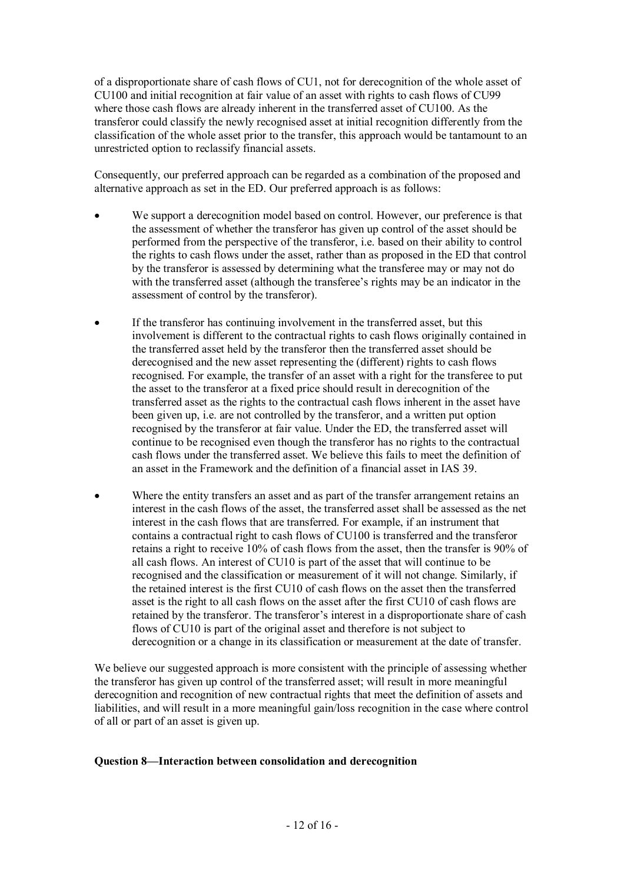of a disproportionate share of cash flows of CU1, not for derecognition of the whole asset of CU100 and initial recognition at fair value of an asset with rights to cash flows of CU99 where those cash flows are already inherent in the transferred asset of CU100. As the transferor could classify the newly recognised asset at initial recognition differently from the classification of the whole asset prior to the transfer, this approach would be tantamount to an unrestricted option to reclassify financial assets.

Consequently, our preferred approach can be regarded as a combination of the proposed and alternative approach as set in the ED. Our preferred approach is as follows:

- We support a derecognition model based on control. However, our preference is that the assessment of whether the transferor has given up control of the asset should be performed from the perspective of the transferor, i.e. based on their ability to control the rights to cash flows under the asset, rather than as proposed in the ED that control by the transferor is assessed by determining what the transferee may or may not do with the transferred asset (although the transferee's rights may be an indicator in the assessment of control by the transferor).
- If the transferor has continuing involvement in the transferred asset, but this involvement is different to the contractual rights to cash flows originally contained in the transferred asset held by the transferor then the transferred asset should be derecognised and the new asset representing the (different) rights to cash flows recognised. For example, the transfer of an asset with a right for the transferee to put the asset to the transferor at a fixed price should result in derecognition of the transferred asset as the rights to the contractual cash flows inherent in the asset have been given up, i.e. are not controlled by the transferor, and a written put option recognised by the transferor at fair value. Under the ED, the transferred asset will continue to be recognised even though the transferor has no rights to the contractual cash flows under the transferred asset. We believe this fails to meet the definition of an asset in the Framework and the definition of a financial asset in IAS 39.
- Where the entity transfers an asset and as part of the transfer arrangement retains an interest in the cash flows of the asset, the transferred asset shall be assessed as the net interest in the cash flows that are transferred. For example, if an instrument that contains a contractual right to cash flows of CU100 is transferred and the transferor retains a right to receive 10% of cash flows from the asset, then the transfer is 90% of all cash flows. An interest of CU10 is part of the asset that will continue to be recognised and the classification or measurement of it will not change. Similarly, if the retained interest is the first CU10 of cash flows on the asset then the transferred asset is the right to all cash flows on the asset after the first CU10 of cash flows are retained by the transferor. The transferor's interest in a disproportionate share of cash flows of CU10 is part of the original asset and therefore is not subject to derecognition or a change in its classification or measurement at the date of transfer.

We believe our suggested approach is more consistent with the principle of assessing whether the transferor has given up control of the transferred asset; will result in more meaningful derecognition and recognition of new contractual rights that meet the definition of assets and liabilities, and will result in a more meaningful gain/loss recognition in the case where control of all or part of an asset is given up.

#### Question 8—Interaction between consolidation and derecognition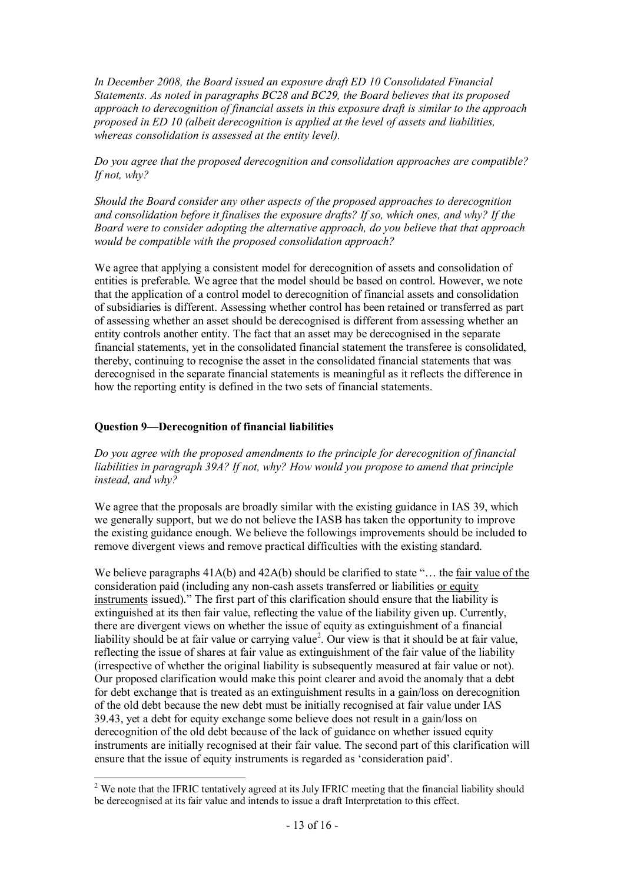In December 2008, the Board issued an exposure draft ED 10 Consolidated Financial Statements. As noted in paragraphs BC28 and BC29, the Board believes that its proposed approach to derecognition of financial assets in this exposure draft is similar to the approach proposed in ED 10 (albeit derecognition is applied at the level of assets and liabilities, whereas consolidation is assessed at the entity level).

Do you agree that the proposed derecognition and consolidation approaches are compatible? If not, why?

Should the Board consider any other aspects of the proposed approaches to derecognition and consolidation before it finalises the exposure drafts? If so, which ones, and why? If the Board were to consider adopting the alternative approach, do you believe that that approach would be compatible with the proposed consolidation approach?

We agree that applying a consistent model for derecognition of assets and consolidation of entities is preferable. We agree that the model should be based on control. However, we note that the application of a control model to derecognition of financial assets and consolidation of subsidiaries is different. Assessing whether control has been retained or transferred as part of assessing whether an asset should be derecognised is different from assessing whether an entity controls another entity. The fact that an asset may be derecognised in the separate financial statements, yet in the consolidated financial statement the transferee is consolidated, thereby, continuing to recognise the asset in the consolidated financial statements that was derecognised in the separate financial statements is meaningful as it reflects the difference in how the reporting entity is defined in the two sets of financial statements.

#### Question 9—Derecognition of financial liabilities

Do you agree with the proposed amendments to the principle for derecognition of financial liabilities in paragraph 39A? If not, why? How would you propose to amend that principle instead, and why?

We agree that the proposals are broadly similar with the existing guidance in IAS 39, which we generally support, but we do not believe the IASB has taken the opportunity to improve the existing guidance enough. We believe the followings improvements should be included to remove divergent views and remove practical difficulties with the existing standard.

We believe paragraphs  $41A(b)$  and  $42A(b)$  should be clarified to state "... the fair value of the consideration paid (including any non-cash assets transferred or liabilities or equity instruments issued)." The first part of this clarification should ensure that the liability is extinguished at its then fair value, reflecting the value of the liability given up. Currently, there are divergent views on whether the issue of equity as extinguishment of a financial liability should be at fair value or carrying value<sup>2</sup>. Our view is that it should be at fair value, reflecting the issue of shares at fair value as extinguishment of the fair value of the liability (irrespective of whether the original liability is subsequently measured at fair value or not). Our proposed clarification would make this point clearer and avoid the anomaly that a debt for debt exchange that is treated as an extinguishment results in a gain/loss on derecognition of the old debt because the new debt must be initially recognised at fair value under IAS 39.43, yet a debt for equity exchange some believe does not result in a gain/loss on derecognition of the old debt because of the lack of guidance on whether issued equity instruments are initially recognised at their fair value. The second part of this clarification will ensure that the issue of equity instruments is regarded as 'consideration paid'.

<sup>&</sup>lt;sup>2</sup> We note that the IFRIC tentatively agreed at its July IFRIC meeting that the financial liability should be derecognised at its fair value and intends to issue a draft Interpretation to this effect.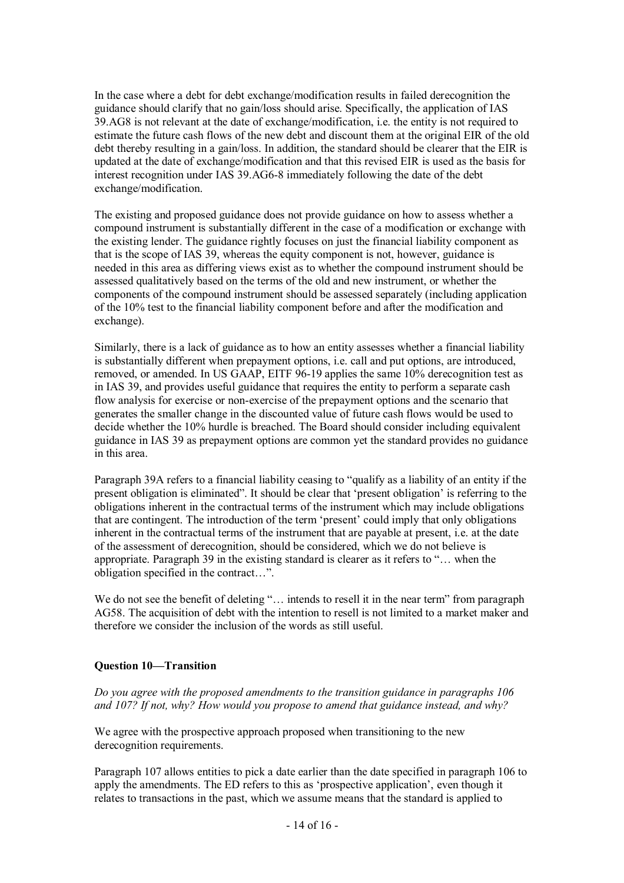In the case where a debt for debt exchange/modification results in failed derecognition the guidance should clarify that no gain/loss should arise. Specifically, the application of IAS 39.AG8 is not relevant at the date of exchange/modification, i.e. the entity is not required to estimate the future cash flows of the new debt and discount them at the original EIR of the old debt thereby resulting in a gain/loss. In addition, the standard should be clearer that the EIR is updated at the date of exchange/modification and that this revised EIR is used as the basis for interest recognition under IAS 39.AG6-8 immediately following the date of the debt exchange/modification.

The existing and proposed guidance does not provide guidance on how to assess whether a compound instrument is substantially different in the case of a modification or exchange with the existing lender. The guidance rightly focuses on just the financial liability component as that is the scope of IAS 39, whereas the equity component is not, however, guidance is needed in this area as differing views exist as to whether the compound instrument should be assessed qualitatively based on the terms of the old and new instrument, or whether the components of the compound instrument should be assessed separately (including application of the 10% test to the financial liability component before and after the modification and exchange).

Similarly, there is a lack of guidance as to how an entity assesses whether a financial liability is substantially different when prepayment options, i.e. call and put options, are introduced, removed, or amended. In US GAAP, EITF 96-19 applies the same 10% derecognition test as in IAS 39, and provides useful guidance that requires the entity to perform a separate cash flow analysis for exercise or non-exercise of the prepayment options and the scenario that generates the smaller change in the discounted value of future cash flows would be used to decide whether the 10% hurdle is breached. The Board should consider including equivalent guidance in IAS 39 as prepayment options are common yet the standard provides no guidance in this area.

Paragraph 39A refers to a financial liability ceasing to "qualify as a liability of an entity if the present obligation is eliminated". It should be clear that 'present obligation' is referring to the obligations inherent in the contractual terms of the instrument which may include obligations that are contingent. The introduction of the term 'present' could imply that only obligations inherent in the contractual terms of the instrument that are payable at present, i.e. at the date of the assessment of derecognition, should be considered, which we do not believe is appropriate. Paragraph 39 in the existing standard is clearer as it refers to "… when the obligation specified in the contract…".

We do not see the benefit of deleting "... intends to resell it in the near term" from paragraph AG58. The acquisition of debt with the intention to resell is not limited to a market maker and therefore we consider the inclusion of the words as still useful.

#### Question 10—Transition

Do you agree with the proposed amendments to the transition guidance in paragraphs 106 and 107? If not, why? How would you propose to amend that guidance instead, and why?

We agree with the prospective approach proposed when transitioning to the new derecognition requirements.

Paragraph 107 allows entities to pick a date earlier than the date specified in paragraph 106 to apply the amendments. The ED refers to this as 'prospective application', even though it relates to transactions in the past, which we assume means that the standard is applied to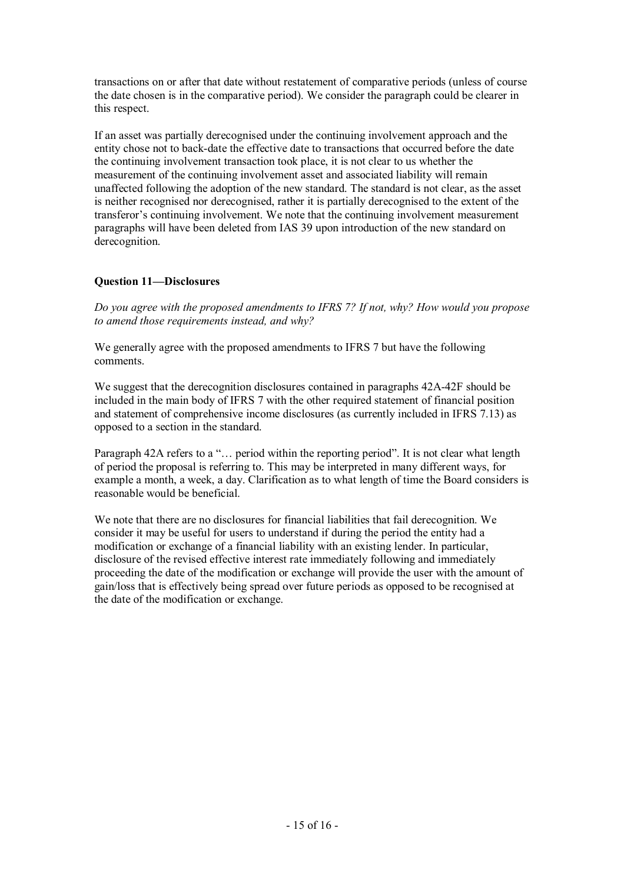transactions on or after that date without restatement of comparative periods (unless of course the date chosen is in the comparative period). We consider the paragraph could be clearer in this respect.

If an asset was partially derecognised under the continuing involvement approach and the entity chose not to back-date the effective date to transactions that occurred before the date the continuing involvement transaction took place, it is not clear to us whether the measurement of the continuing involvement asset and associated liability will remain unaffected following the adoption of the new standard. The standard is not clear, as the asset is neither recognised nor derecognised, rather it is partially derecognised to the extent of the transferor's continuing involvement. We note that the continuing involvement measurement paragraphs will have been deleted from IAS 39 upon introduction of the new standard on derecognition.

# Question 11—Disclosures

Do you agree with the proposed amendments to IFRS 7? If not, why? How would you propose to amend those requirements instead, and why?

We generally agree with the proposed amendments to IFRS 7 but have the following comments.

We suggest that the derecognition disclosures contained in paragraphs 42A-42F should be included in the main body of IFRS 7 with the other required statement of financial position and statement of comprehensive income disclosures (as currently included in IFRS 7.13) as opposed to a section in the standard.

Paragraph 42A refers to a "... period within the reporting period". It is not clear what length of period the proposal is referring to. This may be interpreted in many different ways, for example a month, a week, a day. Clarification as to what length of time the Board considers is reasonable would be beneficial.

We note that there are no disclosures for financial liabilities that fail derecognition. We consider it may be useful for users to understand if during the period the entity had a modification or exchange of a financial liability with an existing lender. In particular, disclosure of the revised effective interest rate immediately following and immediately proceeding the date of the modification or exchange will provide the user with the amount of gain/loss that is effectively being spread over future periods as opposed to be recognised at the date of the modification or exchange.